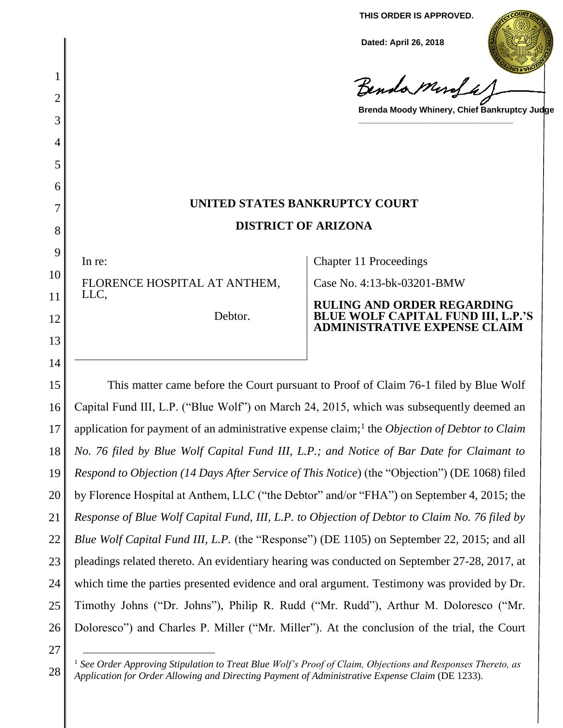**THIS ORDER IS APPROVED.**

**Dated: April 26, 2018**

Benda Murda

**Brenda Moody Whinery, Chief Bankruptcy Judge**

**\_\_\_\_\_\_\_\_\_\_\_\_\_\_\_\_\_\_\_\_\_\_\_\_\_\_\_\_\_\_\_\_\_**

# **UNITED STATES BANKRUPTCY COURT DISTRICT OF ARIZONA**

In re:

1

2

3

4

5

6

7

8

9

10

11

12

13

14

FLORENCE HOSPITAL AT ANTHEM, LLC,

Debtor.

Chapter 11 Proceedings

Case No. 4:13-bk-03201-BMW

**RULING AND ORDER REGARDING BLUE WOLF CAPITAL FUND III, L.P.'S ADMINISTRATIVE EXPENSE CLAIM**

15 16 17 18 19 20 21 22 23 24 25 26 This matter came before the Court pursuant to Proof of Claim 76-1 filed by Blue Wolf Capital Fund III, L.P. ("Blue Wolf") on March 24, 2015, which was subsequently deemed an application for payment of an administrative expense claim;<sup>1</sup> the *Objection of Debtor to Claim No. 76 filed by Blue Wolf Capital Fund III, L.P.; and Notice of Bar Date for Claimant to Respond to Objection (14 Days After Service of This Notice*) (the "Objection") (DE 1068) filed by Florence Hospital at Anthem, LLC ("the Debtor" and/or "FHA") on September 4, 2015; the *Response of Blue Wolf Capital Fund, III, L.P. to Objection of Debtor to Claim No. 76 filed by Blue Wolf Capital Fund III, L.P.* (the "Response") (DE 1105) on September 22, 2015; and all pleadings related thereto. An evidentiary hearing was conducted on September 27-28, 2017, at which time the parties presented evidence and oral argument. Testimony was provided by Dr. Timothy Johns ("Dr. Johns"), Philip R. Rudd ("Mr. Rudd"), Arthur M. Doloresco ("Mr. Doloresco") and Charles P. Miller ("Mr. Miller"). At the conclusion of the trial, the Court

27

 $\overline{a}$ 

<sup>28</sup> <sup>1</sup> *See Order Approving Stipulation to Treat Blue Wolf's Proof of Claim, Objections and Responses Thereto, as Application for Order Allowing and Directing Payment of Administrative Expense Claim* (DE 1233).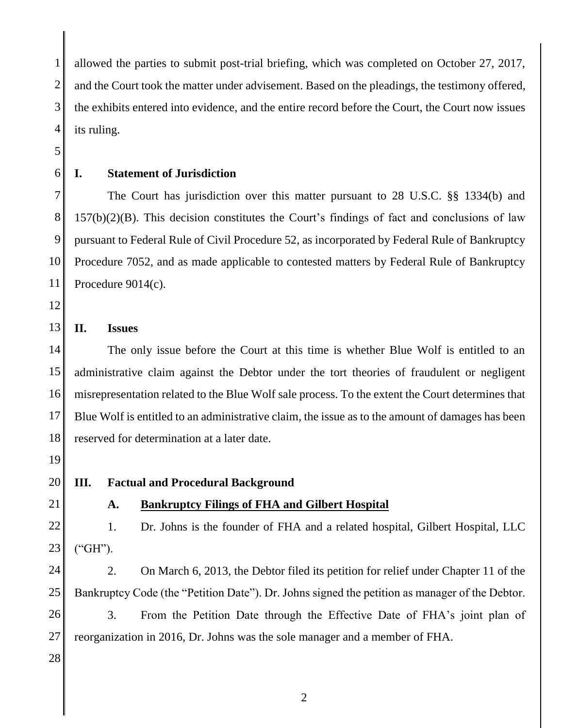1 2 3 4 allowed the parties to submit post-trial briefing, which was completed on October 27, 2017, and the Court took the matter under advisement. Based on the pleadings, the testimony offered, the exhibits entered into evidence, and the entire record before the Court, the Court now issues its ruling.

- 5
- 6

#### **I. Statement of Jurisdiction**

7 8 9 10 11 The Court has jurisdiction over this matter pursuant to 28 U.S.C. §§ 1334(b) and  $157(b)(2)(B)$ . This decision constitutes the Court's findings of fact and conclusions of law pursuant to Federal Rule of Civil Procedure 52, as incorporated by Federal Rule of Bankruptcy Procedure 7052, and as made applicable to contested matters by Federal Rule of Bankruptcy Procedure 9014(c).

12

#### 13 **II. Issues**

14 15 16 17 18 The only issue before the Court at this time is whether Blue Wolf is entitled to an administrative claim against the Debtor under the tort theories of fraudulent or negligent misrepresentation related to the Blue Wolf sale process. To the extent the Court determines that Blue Wolf is entitled to an administrative claim, the issue as to the amount of damages has been reserved for determination at a later date.

- 19
- 20

#### **III. Factual and Procedural Background**

21

## **A. Bankruptcy Filings of FHA and Gilbert Hospital**

22 23 1. Dr. Johns is the founder of FHA and a related hospital, Gilbert Hospital, LLC ("GH").

24 25 26 27 2. On March 6, 2013, the Debtor filed its petition for relief under Chapter 11 of the Bankruptcy Code (the "Petition Date"). Dr. Johns signed the petition as manager of the Debtor. 3. From the Petition Date through the Effective Date of FHA's joint plan of reorganization in 2016, Dr. Johns was the sole manager and a member of FHA.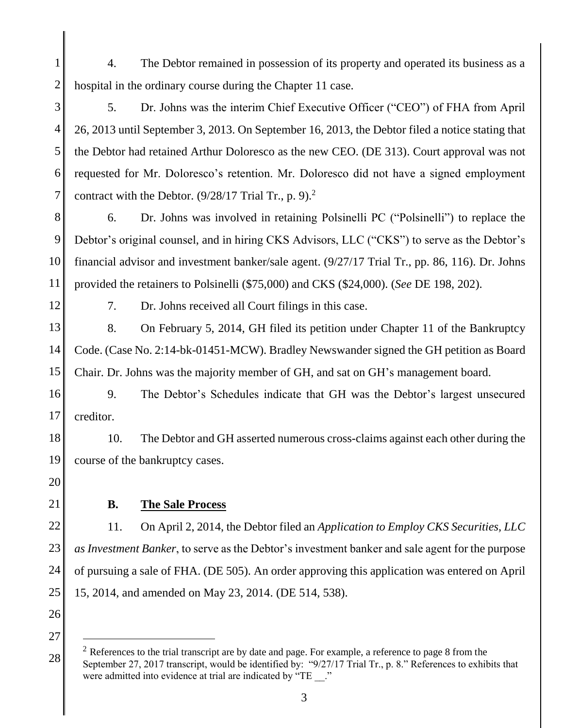1 2 4. The Debtor remained in possession of its property and operated its business as a hospital in the ordinary course during the Chapter 11 case.

3 4 5 6 7 5. Dr. Johns was the interim Chief Executive Officer ("CEO") of FHA from April 26, 2013 until September 3, 2013. On September 16, 2013, the Debtor filed a notice stating that the Debtor had retained Arthur Doloresco as the new CEO. (DE 313). Court approval was not requested for Mr. Doloresco's retention. Mr. Doloresco did not have a signed employment contract with the Debtor.  $(9/28/17$  Trial Tr., p. 9).<sup>2</sup>

- 8 9 10 11 6. Dr. Johns was involved in retaining Polsinelli PC ("Polsinelli") to replace the Debtor's original counsel, and in hiring CKS Advisors, LLC ("CKS") to serve as the Debtor's financial advisor and investment banker/sale agent. (9/27/17 Trial Tr., pp. 86, 116). Dr. Johns provided the retainers to Polsinelli (\$75,000) and CKS (\$24,000). (*See* DE 198, 202).
- 12

7. Dr. Johns received all Court filings in this case.

13 14 15 8. On February 5, 2014, GH filed its petition under Chapter 11 of the Bankruptcy Code. (Case No. 2:14-bk-01451-MCW). Bradley Newswander signed the GH petition as Board Chair. Dr. Johns was the majority member of GH, and sat on GH's management board.

16 17 9. The Debtor's Schedules indicate that GH was the Debtor's largest unsecured creditor.

18 19 10. The Debtor and GH asserted numerous cross-claims against each other during the course of the bankruptcy cases.

- 20
- 21

### **B. The Sale Process**

22 23 24 25 11. On April 2, 2014, the Debtor filed an *Application to Employ CKS Securities, LLC as Investment Banker*, to serve as the Debtor's investment banker and sale agent for the purpose of pursuing a sale of FHA. (DE 505). An order approving this application was entered on April 15, 2014, and amended on May 23, 2014. (DE 514, 538).

26 27

<sup>28</sup>  $2$  References to the trial transcript are by date and page. For example, a reference to page 8 from the September 27, 2017 transcript, would be identified by: "9/27/17 Trial Tr., p. 8." References to exhibits that were admitted into evidence at trial are indicated by "TE \_\_."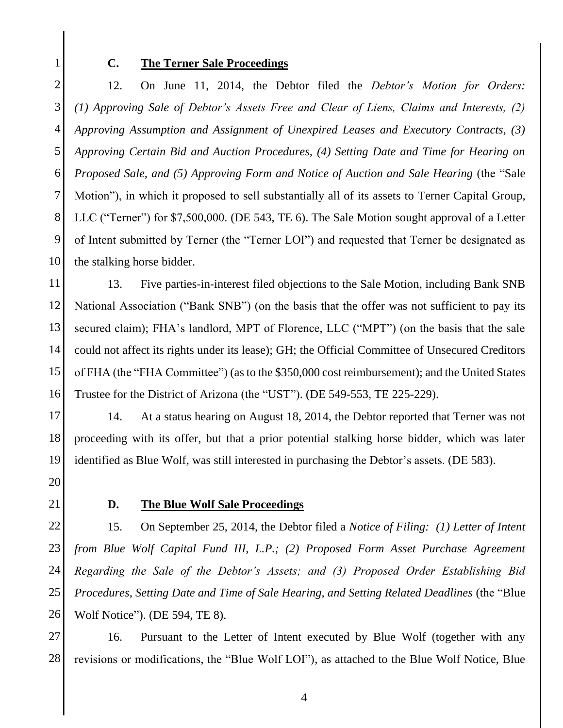1

#### **C. The Terner Sale Proceedings**

2 3 4 5 6 7 8 9 10 12. On June 11, 2014, the Debtor filed the *Debtor's Motion for Orders: (1) Approving Sale of Debtor's Assets Free and Clear of Liens, Claims and Interests, (2) Approving Assumption and Assignment of Unexpired Leases and Executory Contracts, (3) Approving Certain Bid and Auction Procedures, (4) Setting Date and Time for Hearing on Proposed Sale, and (5) Approving Form and Notice of Auction and Sale Hearing* (the "Sale Motion"), in which it proposed to sell substantially all of its assets to Terner Capital Group, LLC ("Terner") for \$7,500,000. (DE 543, TE 6). The Sale Motion sought approval of a Letter of Intent submitted by Terner (the "Terner LOI") and requested that Terner be designated as the stalking horse bidder.

11 12 13 14 15 16 13. Five parties-in-interest filed objections to the Sale Motion, including Bank SNB National Association ("Bank SNB") (on the basis that the offer was not sufficient to pay its secured claim); FHA's landlord, MPT of Florence, LLC ("MPT") (on the basis that the sale could not affect its rights under its lease); GH; the Official Committee of Unsecured Creditors of FHA (the "FHA Committee") (asto the \$350,000 cost reimbursement); and the United States Trustee for the District of Arizona (the "UST"). (DE 549-553, TE 225-229).

17 18 19 14. At a status hearing on August 18, 2014, the Debtor reported that Terner was not proceeding with its offer, but that a prior potential stalking horse bidder, which was later identified as Blue Wolf, was still interested in purchasing the Debtor's assets. (DE 583).

- 20
- 21

#### **D. The Blue Wolf Sale Proceedings**

22 23 24 25 26 15. On September 25, 2014, the Debtor filed a *Notice of Filing: (1) Letter of Intent from Blue Wolf Capital Fund III, L.P.; (2) Proposed Form Asset Purchase Agreement Regarding the Sale of the Debtor's Assets; and (3) Proposed Order Establishing Bid Procedures, Setting Date and Time of Sale Hearing, and Setting Related Deadlines* (the "Blue Wolf Notice"). (DE 594, TE 8).

27 28 16. Pursuant to the Letter of Intent executed by Blue Wolf (together with any revisions or modifications, the "Blue Wolf LOI"), as attached to the Blue Wolf Notice, Blue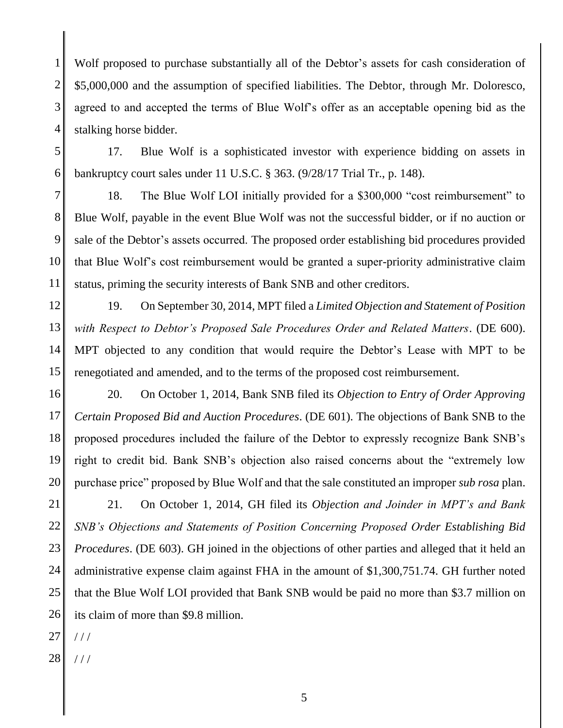1 2 3 4 Wolf proposed to purchase substantially all of the Debtor's assets for cash consideration of \$5,000,000 and the assumption of specified liabilities. The Debtor, through Mr. Doloresco, agreed to and accepted the terms of Blue Wolf's offer as an acceptable opening bid as the stalking horse bidder.

5 6 17. Blue Wolf is a sophisticated investor with experience bidding on assets in bankruptcy court sales under 11 U.S.C. § 363. (9/28/17 Trial Tr., p. 148).

7 8 9 10 11 18. The Blue Wolf LOI initially provided for a \$300,000 "cost reimbursement" to Blue Wolf, payable in the event Blue Wolf was not the successful bidder, or if no auction or sale of the Debtor's assets occurred. The proposed order establishing bid procedures provided that Blue Wolf's cost reimbursement would be granted a super-priority administrative claim status, priming the security interests of Bank SNB and other creditors.

12 13 14 15 19. On September 30, 2014, MPT filed a *Limited Objection and Statement of Position with Respect to Debtor's Proposed Sale Procedures Order and Related Matters*. (DE 600). MPT objected to any condition that would require the Debtor's Lease with MPT to be renegotiated and amended, and to the terms of the proposed cost reimbursement.

16 17 18 19 20 20. On October 1, 2014, Bank SNB filed its *Objection to Entry of Order Approving Certain Proposed Bid and Auction Procedures*. (DE 601). The objections of Bank SNB to the proposed procedures included the failure of the Debtor to expressly recognize Bank SNB's right to credit bid. Bank SNB's objection also raised concerns about the "extremely low purchase price" proposed by Blue Wolf and that the sale constituted an improper *sub rosa* plan.

21 22 23 24 25 26 21. On October 1, 2014, GH filed its *Objection and Joinder in MPT's and Bank SNB's Objections and Statements of Position Concerning Proposed Order Establishing Bid Procedures*. (DE 603). GH joined in the objections of other parties and alleged that it held an administrative expense claim against FHA in the amount of \$1,300,751.74. GH further noted that the Blue Wolf LOI provided that Bank SNB would be paid no more than \$3.7 million on its claim of more than \$9.8 million.

27 / / /

28 / / /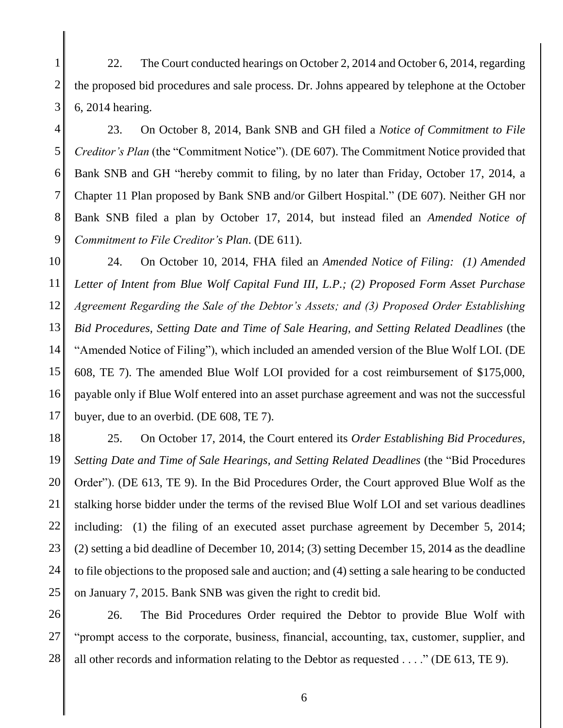1 2 3 22. The Court conducted hearings on October 2, 2014 and October 6, 2014, regarding the proposed bid procedures and sale process. Dr. Johns appeared by telephone at the October 6, 2014 hearing.

4 5 6 7 8 9 23. On October 8, 2014, Bank SNB and GH filed a *Notice of Commitment to File Creditor's Plan* (the "Commitment Notice"). (DE 607). The Commitment Notice provided that Bank SNB and GH "hereby commit to filing, by no later than Friday, October 17, 2014, a Chapter 11 Plan proposed by Bank SNB and/or Gilbert Hospital." (DE 607). Neither GH nor Bank SNB filed a plan by October 17, 2014, but instead filed an *Amended Notice of Commitment to File Creditor's Plan*. (DE 611).

10 11 12 13 14 15 16 17 24. On October 10, 2014, FHA filed an *Amended Notice of Filing: (1) Amended Letter of Intent from Blue Wolf Capital Fund III, L.P.; (2) Proposed Form Asset Purchase Agreement Regarding the Sale of the Debtor's Assets; and (3) Proposed Order Establishing Bid Procedures, Setting Date and Time of Sale Hearing, and Setting Related Deadlines* (the "Amended Notice of Filing"), which included an amended version of the Blue Wolf LOI. (DE 608, TE 7). The amended Blue Wolf LOI provided for a cost reimbursement of \$175,000, payable only if Blue Wolf entered into an asset purchase agreement and was not the successful buyer, due to an overbid. (DE 608, TE 7).

18 19 20 21 22 23 24 25 25. On October 17, 2014, the Court entered its *Order Establishing Bid Procedures, Setting Date and Time of Sale Hearings, and Setting Related Deadlines* (the "Bid Procedures Order"). (DE 613, TE 9). In the Bid Procedures Order, the Court approved Blue Wolf as the stalking horse bidder under the terms of the revised Blue Wolf LOI and set various deadlines including: (1) the filing of an executed asset purchase agreement by December 5, 2014; (2) setting a bid deadline of December 10, 2014; (3) setting December 15, 2014 as the deadline to file objections to the proposed sale and auction; and (4) setting a sale hearing to be conducted on January 7, 2015. Bank SNB was given the right to credit bid.

26 27 28 26. The Bid Procedures Order required the Debtor to provide Blue Wolf with "prompt access to the corporate, business, financial, accounting, tax, customer, supplier, and all other records and information relating to the Debtor as requested . . . ." (DE 613, TE 9).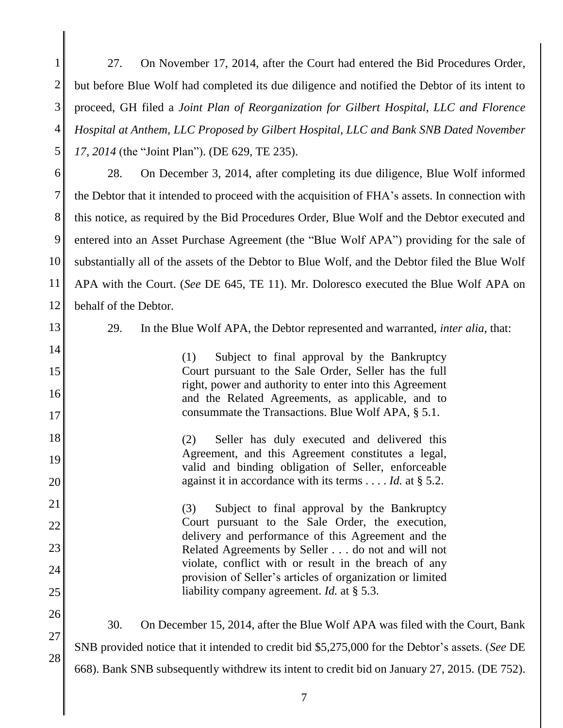1 2 3 4 5 27. On November 17, 2014, after the Court had entered the Bid Procedures Order, but before Blue Wolf had completed its due diligence and notified the Debtor of its intent to proceed, GH filed a *Joint Plan of Reorganization for Gilbert Hospital, LLC and Florence Hospital at Anthem, LLC Proposed by Gilbert Hospital, LLC and Bank SNB Dated November 17, 2014* (the "Joint Plan"). (DE 629, TE 235).

6 7 8 9 10 11 12 28. On December 3, 2014, after completing its due diligence, Blue Wolf informed the Debtor that it intended to proceed with the acquisition of FHA's assets. In connection with this notice, as required by the Bid Procedures Order, Blue Wolf and the Debtor executed and entered into an Asset Purchase Agreement (the "Blue Wolf APA") providing for the sale of substantially all of the assets of the Debtor to Blue Wolf, and the Debtor filed the Blue Wolf APA with the Court. (*See* DE 645, TE 11). Mr. Doloresco executed the Blue Wolf APA on behalf of the Debtor.

13

14

15

16

17

26

27

28

29. In the Blue Wolf APA, the Debtor represented and warranted, *inter alia*, that:

(1) Subject to final approval by the Bankruptcy Court pursuant to the Sale Order, Seller has the full right, power and authority to enter into this Agreement and the Related Agreements, as applicable, and to consummate the Transactions. Blue Wolf APA, § 5.1.

18 19 20 (2) Seller has duly executed and delivered this Agreement, and this Agreement constitutes a legal, valid and binding obligation of Seller, enforceable against it in accordance with its terms . . . . *Id.* at § 5.2.

21 22 23 24 25 (3) Subject to final approval by the Bankruptcy Court pursuant to the Sale Order, the execution, delivery and performance of this Agreement and the Related Agreements by Seller . . . do not and will not violate, conflict with or result in the breach of any provision of Seller's articles of organization or limited liability company agreement. *Id.* at § 5.3.

30. On December 15, 2014, after the Blue Wolf APA was filed with the Court, Bank SNB provided notice that it intended to credit bid \$5,275,000 for the Debtor's assets. (*See* DE 668). Bank SNB subsequently withdrew its intent to credit bid on January 27, 2015. (DE 752).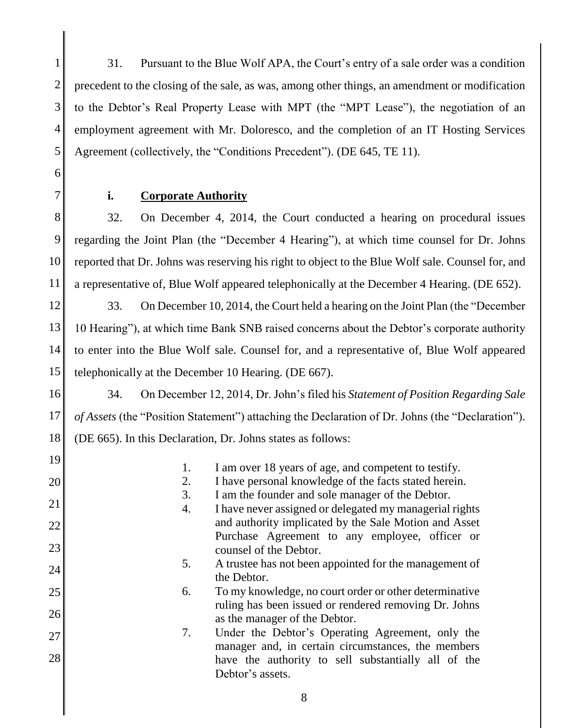1 2 3 4 5 31. Pursuant to the Blue Wolf APA, the Court's entry of a sale order was a condition precedent to the closing of the sale, as was, among other things, an amendment or modification to the Debtor's Real Property Lease with MPT (the "MPT Lease"), the negotiation of an employment agreement with Mr. Doloresco, and the completion of an IT Hosting Services Agreement (collectively, the "Conditions Precedent"). (DE 645, TE 11).

6 7

### **i. Corporate Authority**

8 9 10 11 32. On December 4, 2014, the Court conducted a hearing on procedural issues regarding the Joint Plan (the "December 4 Hearing"), at which time counsel for Dr. Johns reported that Dr. Johns was reserving his right to object to the Blue Wolf sale. Counsel for, and a representative of, Blue Wolf appeared telephonically at the December 4 Hearing. (DE 652).

12 13 14 15 33. On December 10, 2014, the Court held a hearing on the Joint Plan (the "December 10 Hearing"), at which time Bank SNB raised concerns about the Debtor's corporate authority to enter into the Blue Wolf sale. Counsel for, and a representative of, Blue Wolf appeared telephonically at the December 10 Hearing. (DE 667).

16

19

17 18 34. On December 12, 2014, Dr. John's filed his *Statement of Position Regarding Sale of Assets* (the "Position Statement") attaching the Declaration of Dr. Johns (the "Declaration"). (DE 665). In this Declaration, Dr. Johns states as follows:

| ∸  |          | I am over 18 years of age, and competent to testify.                                                        |
|----|----------|-------------------------------------------------------------------------------------------------------------|
| 20 | 2.       | I have personal knowledge of the facts stated herein.                                                       |
| 21 | 3.<br>4. | I am the founder and sole manager of the Debtor.<br>I have never assigned or delegated my managerial rights |
| 22 |          | and authority implicated by the Sale Motion and Asset                                                       |
| 23 |          | Purchase Agreement to any employee, officer or<br>counsel of the Debtor.                                    |
| 24 | 5.       | A trustee has not been appointed for the management of<br>the Debtor.                                       |
| 25 | 6.       | To my knowledge, no court order or other determinative                                                      |
| 26 |          | ruling has been issued or rendered removing Dr. Johns<br>as the manager of the Debtor.                      |
| 27 | 7.       | Under the Debtor's Operating Agreement, only the<br>manager and, in certain circumstances, the members      |
| 28 |          | have the authority to sell substantially all of the<br>Debtor's assets.                                     |
|    |          |                                                                                                             |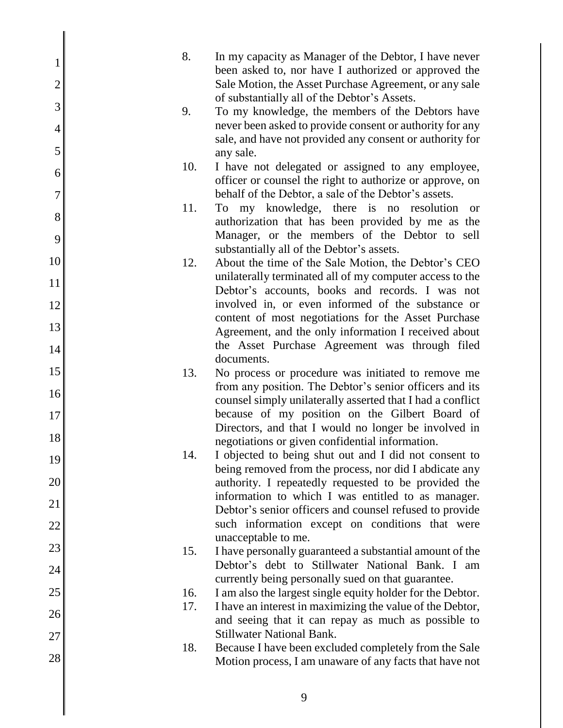| 1<br>$\overline{2}$ | 8.  | In my capacity as Manager of the Debtor, I have never<br>been asked to, nor have I authorized or approved the<br>Sale Motion, the Asset Purchase Agreement, or any sale |
|---------------------|-----|-------------------------------------------------------------------------------------------------------------------------------------------------------------------------|
| 3                   |     | of substantially all of the Debtor's Assets.                                                                                                                            |
| $\overline{4}$      | 9.  | To my knowledge, the members of the Debtors have<br>never been asked to provide consent or authority for any                                                            |
| 5                   |     | sale, and have not provided any consent or authority for                                                                                                                |
|                     | 10. | any sale.<br>I have not delegated or assigned to any employee,                                                                                                          |
| 6                   |     | officer or counsel the right to authorize or approve, on                                                                                                                |
| 7                   | 11. | behalf of the Debtor, a sale of the Debtor's assets.                                                                                                                    |
| 8                   |     | To my knowledge, there is no resolution<br>- or<br>authorization that has been provided by me as the                                                                    |
| 9                   |     | Manager, or the members of the Debtor to sell<br>substantially all of the Debtor's assets.                                                                              |
| 10                  | 12. | About the time of the Sale Motion, the Debtor's CEO                                                                                                                     |
| 11                  |     | unilaterally terminated all of my computer access to the                                                                                                                |
| 12                  |     | Debtor's accounts, books and records. I was not<br>involved in, or even informed of the substance or                                                                    |
| 13                  |     | content of most negotiations for the Asset Purchase                                                                                                                     |
|                     |     | Agreement, and the only information I received about<br>the Asset Purchase Agreement was through filed                                                                  |
| 14                  |     | documents.                                                                                                                                                              |
| 15                  | 13. | No process or procedure was initiated to remove me                                                                                                                      |
| 16                  |     | from any position. The Debtor's senior officers and its<br>counsel simply unilaterally asserted that I had a conflict                                                   |
| 17                  |     | because of my position on the Gilbert Board of                                                                                                                          |
| 18                  |     | Directors, and that I would no longer be involved in<br>negotiations or given confidential information.                                                                 |
| 19                  | 14. | I objected to being shut out and I did not consent to                                                                                                                   |
| 20                  |     | being removed from the process, nor did I abdicate any                                                                                                                  |
|                     |     | authority. I repeatedly requested to be provided the<br>information to which I was entitled to as manager.                                                              |
| 21                  |     | Debtor's senior officers and counsel refused to provide                                                                                                                 |
| 22                  |     | such information except on conditions that were<br>unacceptable to me.                                                                                                  |
| 23                  | 15. | I have personally guaranteed a substantial amount of the                                                                                                                |
| 24                  |     | Debtor's debt to Stillwater National Bank. I am                                                                                                                         |
| 25                  | 16. | currently being personally sued on that guarantee.<br>I am also the largest single equity holder for the Debtor.                                                        |
| 26                  | 17. | I have an interest in maximizing the value of the Debtor,                                                                                                               |
| 27                  |     | and seeing that it can repay as much as possible to<br><b>Stillwater National Bank.</b>                                                                                 |
| 28                  | 18. | Because I have been excluded completely from the Sale<br>Motion process, I am unaware of any facts that have not                                                        |
|                     |     |                                                                                                                                                                         |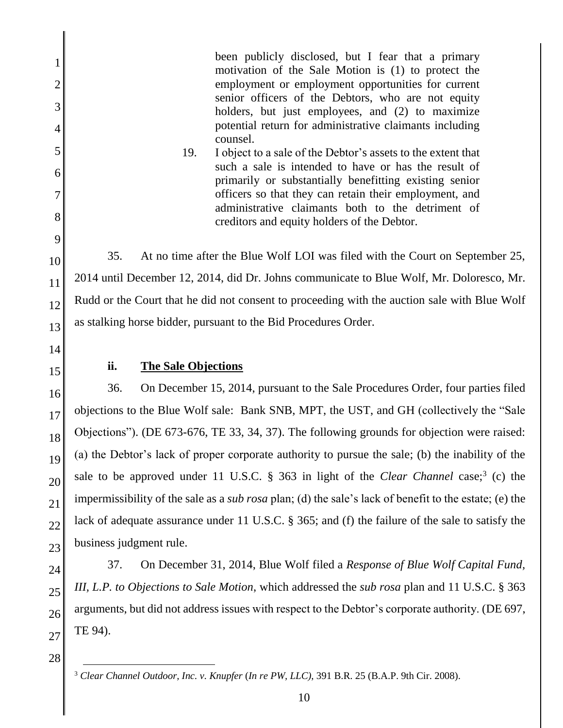been publicly disclosed, but I fear that a primary motivation of the Sale Motion is (1) to protect the employment or employment opportunities for current senior officers of the Debtors, who are not equity holders, but just employees, and (2) to maximize potential return for administrative claimants including counsel.

19. I object to a sale of the Debtor's assets to the extent that such a sale is intended to have or has the result of primarily or substantially benefitting existing senior officers so that they can retain their employment, and administrative claimants both to the detriment of creditors and equity holders of the Debtor.

35. At no time after the Blue Wolf LOI was filed with the Court on September 25, 2014 until December 12, 2014, did Dr. Johns communicate to Blue Wolf, Mr. Doloresco, Mr. Rudd or the Court that he did not consent to proceeding with the auction sale with Blue Wolf as stalking horse bidder, pursuant to the Bid Procedures Order.

14 15

1

2

3

4

5

6

7

8

9

10

11

12

13

## **ii. The Sale Objections**

16 17 18 19 20 21 22 23 36. On December 15, 2014, pursuant to the Sale Procedures Order, four parties filed objections to the Blue Wolf sale: Bank SNB, MPT, the UST, and GH (collectively the "Sale Objections"). (DE 673-676, TE 33, 34, 37). The following grounds for objection were raised: (a) the Debtor's lack of proper corporate authority to pursue the sale; (b) the inability of the sale to be approved under 11 U.S.C. § 363 in light of the *Clear Channel* case;<sup>3</sup> (c) the impermissibility of the sale as a *sub rosa* plan; (d) the sale's lack of benefit to the estate; (e) the lack of adequate assurance under 11 U.S.C. § 365; and (f) the failure of the sale to satisfy the business judgment rule.

24 25 26 27 37. On December 31, 2014, Blue Wolf filed a *Response of Blue Wolf Capital Fund, III, L.P. to Objections to Sale Motion*, which addressed the *sub rosa* plan and 11 U.S.C. § 363 arguments, but did not address issues with respect to the Debtor's corporate authority. (DE 697, TE 94).

 $\overline{a}$ <sup>3</sup> *Clear Channel Outdoor, Inc. v. Knupfer* (*In re PW, LLC)*, 391 B.R. 25 (B.A.P. 9th Cir. 2008).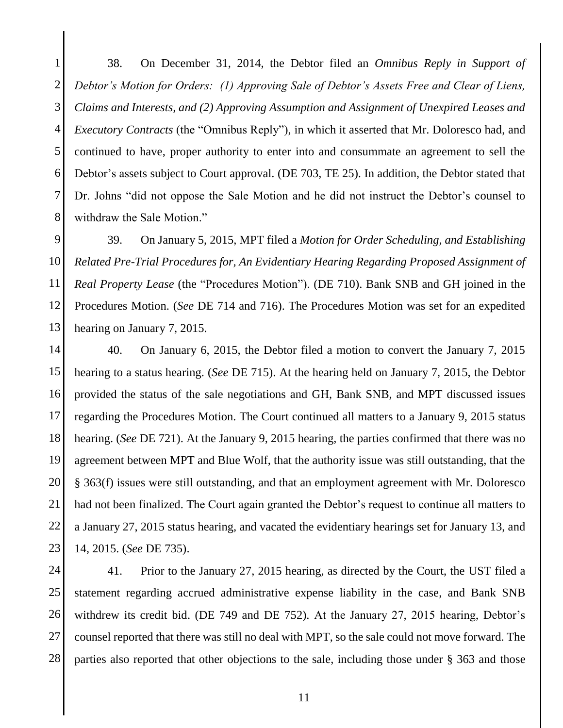1 2 3 4 5 6 7 8 38. On December 31, 2014, the Debtor filed an *Omnibus Reply in Support of Debtor's Motion for Orders: (1) Approving Sale of Debtor's Assets Free and Clear of Liens, Claims and Interests, and (2) Approving Assumption and Assignment of Unexpired Leases and Executory Contracts* (the "Omnibus Reply"), in which it asserted that Mr. Doloresco had, and continued to have, proper authority to enter into and consummate an agreement to sell the Debtor's assets subject to Court approval. (DE 703, TE 25). In addition, the Debtor stated that Dr. Johns "did not oppose the Sale Motion and he did not instruct the Debtor's counsel to withdraw the Sale Motion."

9 10 11 12 13 39. On January 5, 2015, MPT filed a *Motion for Order Scheduling, and Establishing Related Pre-Trial Procedures for, An Evidentiary Hearing Regarding Proposed Assignment of Real Property Lease* (the "Procedures Motion"). (DE 710). Bank SNB and GH joined in the Procedures Motion. (*See* DE 714 and 716). The Procedures Motion was set for an expedited hearing on January 7, 2015.

14 15 16 17 18 19 20 21 22 23 40. On January 6, 2015, the Debtor filed a motion to convert the January 7, 2015 hearing to a status hearing. (*See* DE 715). At the hearing held on January 7, 2015, the Debtor provided the status of the sale negotiations and GH, Bank SNB, and MPT discussed issues regarding the Procedures Motion. The Court continued all matters to a January 9, 2015 status hearing. (*See* DE 721). At the January 9, 2015 hearing, the parties confirmed that there was no agreement between MPT and Blue Wolf, that the authority issue was still outstanding, that the § 363(f) issues were still outstanding, and that an employment agreement with Mr. Doloresco had not been finalized. The Court again granted the Debtor's request to continue all matters to a January 27, 2015 status hearing, and vacated the evidentiary hearings set for January 13, and 14, 2015. (*See* DE 735).

24 25 26 27 28 41. Prior to the January 27, 2015 hearing, as directed by the Court, the UST filed a statement regarding accrued administrative expense liability in the case, and Bank SNB withdrew its credit bid. (DE 749 and DE 752). At the January 27, 2015 hearing, Debtor's counsel reported that there was still no deal with MPT, so the sale could not move forward. The parties also reported that other objections to the sale, including those under § 363 and those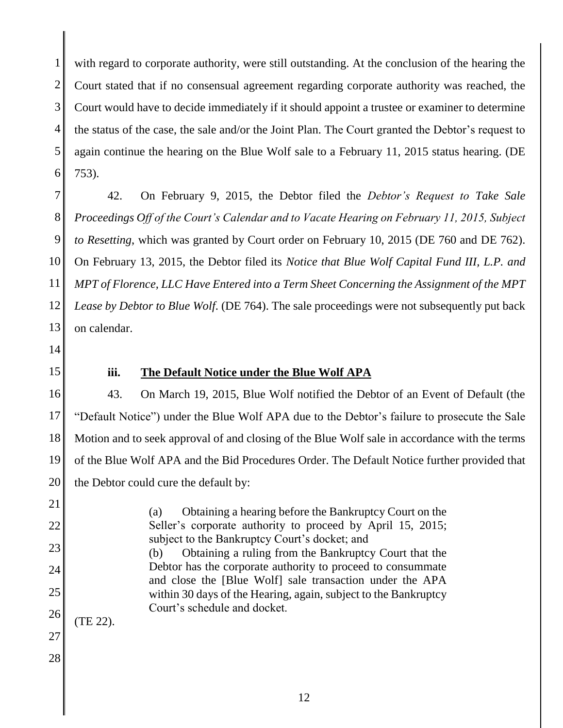1 2 3 4 5 6 with regard to corporate authority, were still outstanding. At the conclusion of the hearing the Court stated that if no consensual agreement regarding corporate authority was reached, the Court would have to decide immediately if it should appoint a trustee or examiner to determine the status of the case, the sale and/or the Joint Plan. The Court granted the Debtor's request to again continue the hearing on the Blue Wolf sale to a February 11, 2015 status hearing. (DE 753).

7 8 9 10 11 12 13 42. On February 9, 2015, the Debtor filed the *Debtor's Request to Take Sale Proceedings Off of the Court's Calendar and to Vacate Hearing on February 11, 2015, Subject to Resetting*, which was granted by Court order on February 10, 2015 (DE 760 and DE 762). On February 13, 2015, the Debtor filed its *Notice that Blue Wolf Capital Fund III, L.P. and MPT of Florence, LLC Have Entered into a Term Sheet Concerning the Assignment of the MPT Lease by Debtor to Blue Wolf*. (DE 764). The sale proceedings were not subsequently put back on calendar.

- 14
- 15

#### **iii. The Default Notice under the Blue Wolf APA**

16 17 18 19 20 43. On March 19, 2015, Blue Wolf notified the Debtor of an Event of Default (the "Default Notice") under the Blue Wolf APA due to the Debtor's failure to prosecute the Sale Motion and to seek approval of and closing of the Blue Wolf sale in accordance with the terms of the Blue Wolf APA and the Bid Procedures Order. The Default Notice further provided that the Debtor could cure the default by:

21 22 23 24 25 26 27 28 (a) Obtaining a hearing before the Bankruptcy Court on the Seller's corporate authority to proceed by April 15, 2015; subject to the Bankruptcy Court's docket; and (b) Obtaining a ruling from the Bankruptcy Court that the Debtor has the corporate authority to proceed to consummate and close the [Blue Wolf] sale transaction under the APA within 30 days of the Hearing, again, subject to the Bankruptcy Court's schedule and docket. (TE 22).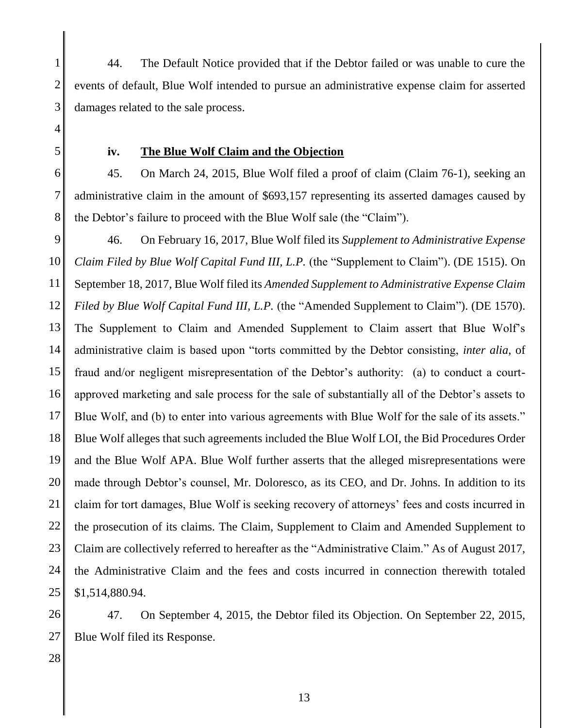1 2 3 44. The Default Notice provided that if the Debtor failed or was unable to cure the events of default, Blue Wolf intended to pursue an administrative expense claim for asserted damages related to the sale process.

**iv. The Blue Wolf Claim and the Objection**

45. On March 24, 2015, Blue Wolf filed a proof of claim (Claim 76-1), seeking an administrative claim in the amount of \$693,157 representing its asserted damages caused by the Debtor's failure to proceed with the Blue Wolf sale (the "Claim").

9 10 11 12 13 14 15 16 17 18 19 20 21 22 23 24 25 46. On February 16, 2017, Blue Wolf filed its *Supplement to Administrative Expense Claim Filed by Blue Wolf Capital Fund III, L.P.* (the "Supplement to Claim"). (DE 1515). On September 18, 2017, Blue Wolf filed its *Amended Supplement to Administrative Expense Claim Filed by Blue Wolf Capital Fund III, L.P.* (the "Amended Supplement to Claim"). (DE 1570). The Supplement to Claim and Amended Supplement to Claim assert that Blue Wolf's administrative claim is based upon "torts committed by the Debtor consisting, *inter alia*, of fraud and/or negligent misrepresentation of the Debtor's authority: (a) to conduct a courtapproved marketing and sale process for the sale of substantially all of the Debtor's assets to Blue Wolf, and (b) to enter into various agreements with Blue Wolf for the sale of its assets." Blue Wolf alleges that such agreements included the Blue Wolf LOI, the Bid Procedures Order and the Blue Wolf APA. Blue Wolf further asserts that the alleged misrepresentations were made through Debtor's counsel, Mr. Doloresco, as its CEO, and Dr. Johns. In addition to its claim for tort damages, Blue Wolf is seeking recovery of attorneys' fees and costs incurred in the prosecution of its claims. The Claim, Supplement to Claim and Amended Supplement to Claim are collectively referred to hereafter as the "Administrative Claim." As of August 2017, the Administrative Claim and the fees and costs incurred in connection therewith totaled \$1,514,880.94.

26 27 47. On September 4, 2015, the Debtor filed its Objection. On September 22, 2015, Blue Wolf filed its Response.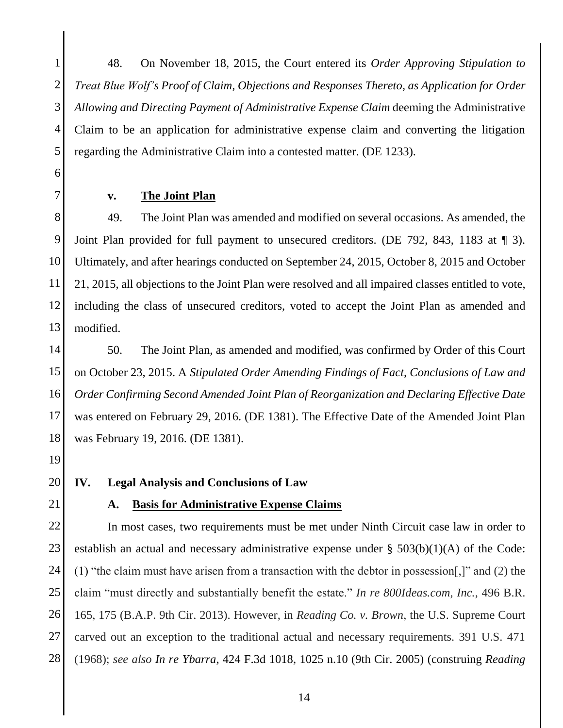1 2 3 4 5 48. On November 18, 2015, the Court entered its *Order Approving Stipulation to Treat Blue Wolf's Proof of Claim, Objections and Responses Thereto, as Application for Order Allowing and Directing Payment of Administrative Expense Claim* deeming the Administrative Claim to be an application for administrative expense claim and converting the litigation regarding the Administrative Claim into a contested matter. (DE 1233).

6 7

#### **v. The Joint Plan**

8 9 10 11 12 13 49. The Joint Plan was amended and modified on several occasions. As amended, the Joint Plan provided for full payment to unsecured creditors. (DE 792, 843, 1183 at ¶ 3). Ultimately, and after hearings conducted on September 24, 2015, October 8, 2015 and October 21, 2015, all objections to the Joint Plan were resolved and all impaired classes entitled to vote, including the class of unsecured creditors, voted to accept the Joint Plan as amended and modified.

14 15 16 17 18 50. The Joint Plan, as amended and modified, was confirmed by Order of this Court on October 23, 2015. A *Stipulated Order Amending Findings of Fact, Conclusions of Law and Order Confirming Second Amended Joint Plan of Reorganization and Declaring Effective Date* was entered on February 29, 2016. (DE 1381). The Effective Date of the Amended Joint Plan was February 19, 2016. (DE 1381).

- 19
- 20 21

#### **IV. Legal Analysis and Conclusions of Law**

#### **A. Basis for Administrative Expense Claims**

22 23 24 25 26 27 28 In most cases, two requirements must be met under Ninth Circuit case law in order to establish an actual and necessary administrative expense under  $\S$  503(b)(1)(A) of the Code: (1) "the claim must have arisen from a transaction with the debtor in possession[,]" and (2) the claim "must directly and substantially benefit the estate." *In re 800Ideas.com, Inc.,* 496 B.R. 165, 175 (B.A.P. 9th Cir. 2013). However, in *Reading Co. v. Brown*, the U.S. Supreme Court carved out an exception to the traditional actual and necessary requirements. 391 U.S. 471 (1968); *see also In re Ybarra*, 424 F.3d 1018, 1025 n.10 (9th Cir. 2005) (construing *Reading*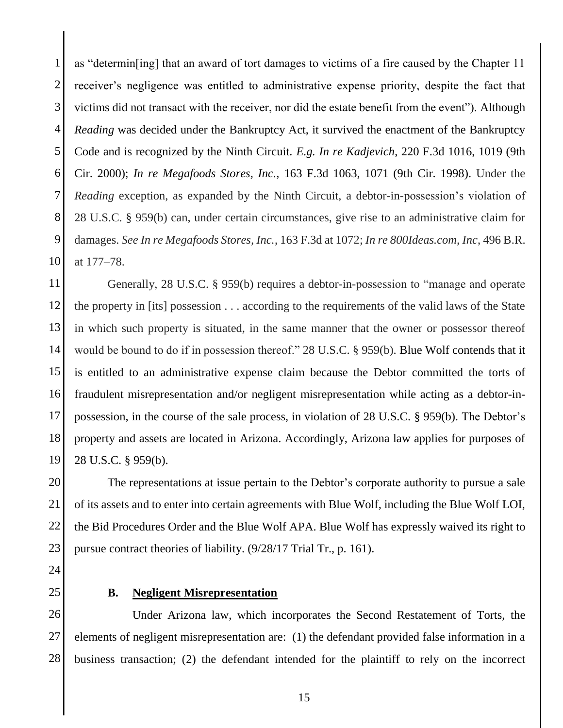1 2 3 4 5 6 7 8 9 10 as "determin[ing] that an award of tort damages to victims of a fire caused by the Chapter 11 receiver's negligence was entitled to administrative expense priority, despite the fact that victims did not transact with the receiver, nor did the estate benefit from the event"). Although *Reading* was decided under the Bankruptcy Act, it survived the enactment of the Bankruptcy Code and is recognized by the Ninth Circuit. *E.g. In re Kadjevich*, 220 F.3d 1016, 1019 (9th Cir. 2000); *In re Megafoods Stores, Inc.*, 163 F.3d 1063, 1071 (9th Cir. 1998). Under the *Reading* exception, as expanded by the Ninth Circuit, a debtor-in-possession's violation of 28 U.S.C. § 959(b) can, under certain circumstances, give rise to an administrative claim for damages. *See In re Megafoods Stores, Inc.*, 163 F.3d at 1072; *In re 800Ideas.com, Inc*, 496 B.R. at 177–78.

11 12 13 14 15 16 17 18 19 Generally, 28 U.S.C. § 959(b) requires a debtor-in-possession to "manage and operate the property in [its] possession . . . according to the requirements of the valid laws of the State in which such property is situated, in the same manner that the owner or possessor thereof would be bound to do if in possession thereof." 28 U.S.C. § 959(b). Blue Wolf contends that it is entitled to an administrative expense claim because the Debtor committed the torts of fraudulent misrepresentation and/or negligent misrepresentation while acting as a debtor-inpossession, in the course of the sale process, in violation of 28 U.S.C. § 959(b). The Debtor's property and assets are located in Arizona. Accordingly, Arizona law applies for purposes of 28 U.S.C. § 959(b).

20 21 22 23 The representations at issue pertain to the Debtor's corporate authority to pursue a sale of its assets and to enter into certain agreements with Blue Wolf, including the Blue Wolf LOI, the Bid Procedures Order and the Blue Wolf APA. Blue Wolf has expressly waived its right to pursue contract theories of liability. (9/28/17 Trial Tr., p. 161).

- 24
- 25

#### **B. Negligent Misrepresentation**

26 27 28 Under Arizona law, which incorporates the Second Restatement of Torts, the elements of negligent misrepresentation are: (1) the defendant provided false information in a business transaction; (2) the defendant intended for the plaintiff to rely on the incorrect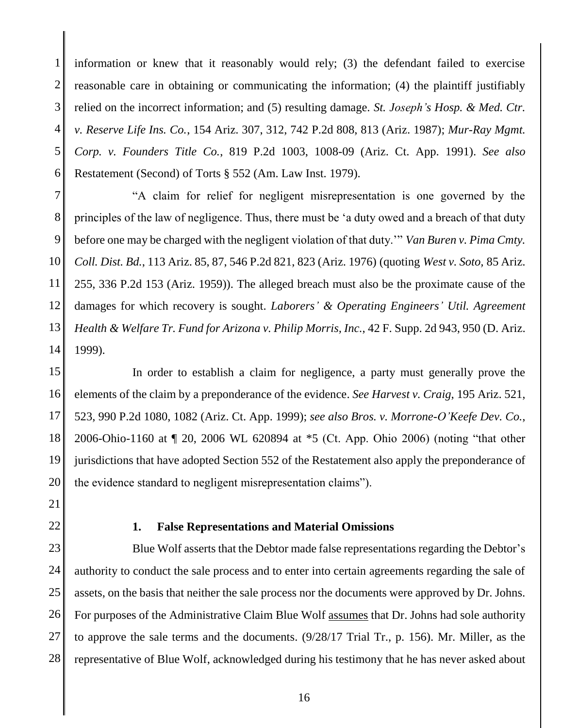1 2 3 4 5 6 information or knew that it reasonably would rely; (3) the defendant failed to exercise reasonable care in obtaining or communicating the information; (4) the plaintiff justifiably relied on the incorrect information; and (5) resulting damage. *St. Joseph's Hosp. & Med. Ctr. v. Reserve Life Ins. Co.*, 154 Ariz. 307, 312, 742 P.2d 808, 813 (Ariz. 1987); *Mur-Ray Mgmt. Corp. v. Founders Title Co.*, 819 P.2d 1003, 1008-09 (Ariz. Ct. App. 1991). *See also*  Restatement (Second) of Torts § 552 (Am. Law Inst. 1979).

7 8 9 10 11 12 13 14 "A claim for relief for negligent misrepresentation is one governed by the principles of the law of negligence. Thus, there must be 'a duty owed and a breach of that duty before one may be charged with the negligent violation of that duty.'" *Van Buren v. Pima Cmty. Coll. Dist. Bd.*, 113 Ariz. 85, 87, 546 P.2d 821, 823 (Ariz. 1976) (quoting *West v. Soto,* 85 Ariz. 255, 336 P.2d 153 (Ariz. 1959)). The alleged breach must also be the proximate cause of the damages for which recovery is sought. *Laborers' & Operating Engineers' Util. Agreement Health & Welfare Tr. Fund for Arizona v. Philip Morris, Inc.*, 42 F. Supp. 2d 943, 950 (D. Ariz. 1999).

15 16 17 18 19 20 In order to establish a claim for negligence, a party must generally prove the elements of the claim by a preponderance of the evidence. *See Harvest v. Craig*, 195 Ariz. 521, 523, 990 P.2d 1080, 1082 (Ariz. Ct. App. 1999); *see also Bros. v. Morrone-O'Keefe Dev. Co.*, 2006-Ohio-1160 at ¶ 20, 2006 WL 620894 at \*5 (Ct. App. Ohio 2006) (noting "that other jurisdictions that have adopted Section 552 of the Restatement also apply the preponderance of the evidence standard to negligent misrepresentation claims").

- 21
- 22

#### **1. False Representations and Material Omissions**

23 24 25 26 27 28 Blue Wolf asserts that the Debtor made false representations regarding the Debtor's authority to conduct the sale process and to enter into certain agreements regarding the sale of assets, on the basis that neither the sale process nor the documents were approved by Dr. Johns. For purposes of the Administrative Claim Blue Wolf assumes that Dr. Johns had sole authority to approve the sale terms and the documents. (9/28/17 Trial Tr., p. 156). Mr. Miller, as the representative of Blue Wolf, acknowledged during his testimony that he has never asked about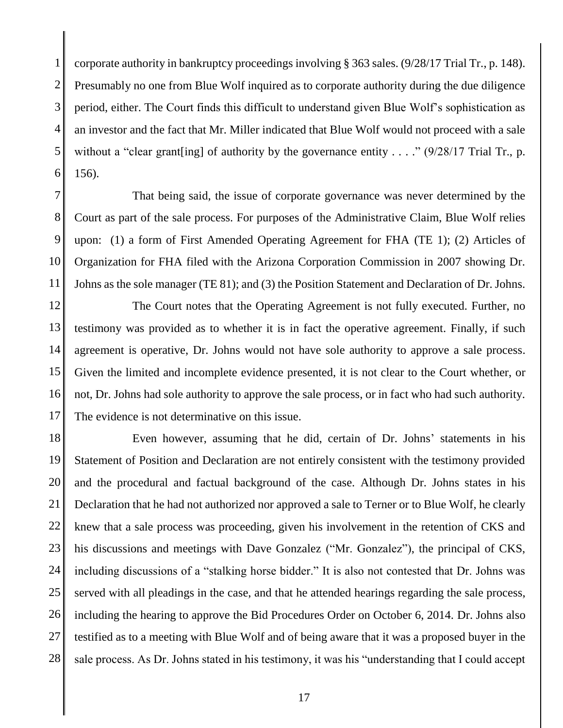1 2 3 4 5 6 corporate authority in bankruptcy proceedings involving § 363 sales. (9/28/17 Trial Tr., p. 148). Presumably no one from Blue Wolf inquired as to corporate authority during the due diligence period, either. The Court finds this difficult to understand given Blue Wolf's sophistication as an investor and the fact that Mr. Miller indicated that Blue Wolf would not proceed with a sale without a "clear grant [ing] of authority by the governance entity  $\ldots$ ." (9/28/17 Trial Tr., p. 156).

7 8 9 10 11 That being said, the issue of corporate governance was never determined by the Court as part of the sale process. For purposes of the Administrative Claim, Blue Wolf relies upon: (1) a form of First Amended Operating Agreement for FHA (TE 1); (2) Articles of Organization for FHA filed with the Arizona Corporation Commission in 2007 showing Dr. Johns as the sole manager (TE 81); and (3) the Position Statement and Declaration of Dr. Johns.

12 13 14 15 16 17 The Court notes that the Operating Agreement is not fully executed. Further, no testimony was provided as to whether it is in fact the operative agreement. Finally, if such agreement is operative, Dr. Johns would not have sole authority to approve a sale process. Given the limited and incomplete evidence presented, it is not clear to the Court whether, or not, Dr. Johns had sole authority to approve the sale process, or in fact who had such authority. The evidence is not determinative on this issue.

18 19 20 21 22 23 24 25 26 27 28 Even however, assuming that he did, certain of Dr. Johns' statements in his Statement of Position and Declaration are not entirely consistent with the testimony provided and the procedural and factual background of the case. Although Dr. Johns states in his Declaration that he had not authorized nor approved a sale to Terner or to Blue Wolf, he clearly knew that a sale process was proceeding, given his involvement in the retention of CKS and his discussions and meetings with Dave Gonzalez ("Mr. Gonzalez"), the principal of CKS, including discussions of a "stalking horse bidder." It is also not contested that Dr. Johns was served with all pleadings in the case, and that he attended hearings regarding the sale process, including the hearing to approve the Bid Procedures Order on October 6, 2014. Dr. Johns also testified as to a meeting with Blue Wolf and of being aware that it was a proposed buyer in the sale process. As Dr. Johns stated in his testimony, it was his "understanding that I could accept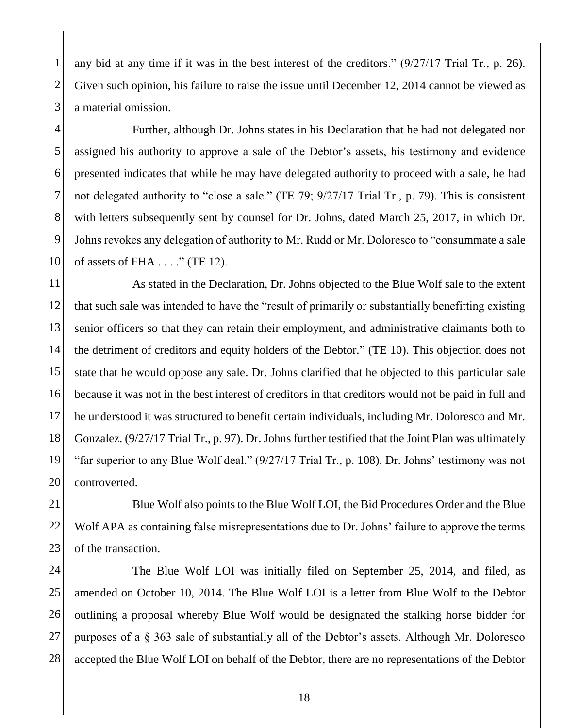1 2 3 any bid at any time if it was in the best interest of the creditors." (9/27/17 Trial Tr., p. 26). Given such opinion, his failure to raise the issue until December 12, 2014 cannot be viewed as a material omission.

4 5 6 7 8 9 10 Further, although Dr. Johns states in his Declaration that he had not delegated nor assigned his authority to approve a sale of the Debtor's assets, his testimony and evidence presented indicates that while he may have delegated authority to proceed with a sale, he had not delegated authority to "close a sale." (TE 79; 9/27/17 Trial Tr., p. 79). This is consistent with letters subsequently sent by counsel for Dr. Johns, dated March 25, 2017, in which Dr. Johns revokes any delegation of authority to Mr. Rudd or Mr. Doloresco to "consummate a sale of assets of FHA . . . ." (TE 12).

11 12 13 14 15 16 17 18 19 20 As stated in the Declaration, Dr. Johns objected to the Blue Wolf sale to the extent that such sale was intended to have the "result of primarily or substantially benefitting existing senior officers so that they can retain their employment, and administrative claimants both to the detriment of creditors and equity holders of the Debtor." (TE 10). This objection does not state that he would oppose any sale. Dr. Johns clarified that he objected to this particular sale because it was not in the best interest of creditors in that creditors would not be paid in full and he understood it was structured to benefit certain individuals, including Mr. Doloresco and Mr. Gonzalez. (9/27/17 Trial Tr., p. 97). Dr. Johns further testified that the Joint Plan was ultimately "far superior to any Blue Wolf deal." (9/27/17 Trial Tr., p. 108). Dr. Johns' testimony was not controverted.

21 22 23 Blue Wolf also points to the Blue Wolf LOI, the Bid Procedures Order and the Blue Wolf APA as containing false misrepresentations due to Dr. Johns' failure to approve the terms of the transaction.

24 25 26 27 28 The Blue Wolf LOI was initially filed on September 25, 2014, and filed, as amended on October 10, 2014. The Blue Wolf LOI is a letter from Blue Wolf to the Debtor outlining a proposal whereby Blue Wolf would be designated the stalking horse bidder for purposes of a § 363 sale of substantially all of the Debtor's assets. Although Mr. Doloresco accepted the Blue Wolf LOI on behalf of the Debtor, there are no representations of the Debtor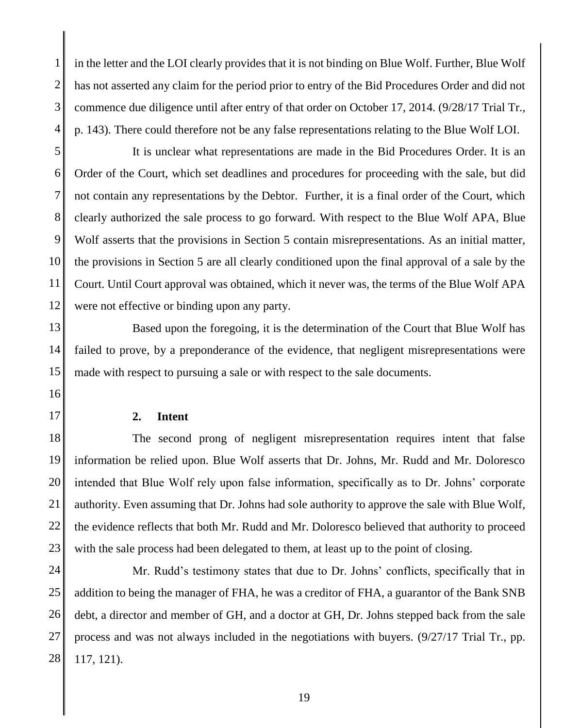1 2 3 4 in the letter and the LOI clearly provides that it is not binding on Blue Wolf. Further, Blue Wolf has not asserted any claim for the period prior to entry of the Bid Procedures Order and did not commence due diligence until after entry of that order on October 17, 2014. (9/28/17 Trial Tr., p. 143). There could therefore not be any false representations relating to the Blue Wolf LOI.

5 6 7 8 9 10 11 12 It is unclear what representations are made in the Bid Procedures Order. It is an Order of the Court, which set deadlines and procedures for proceeding with the sale, but did not contain any representations by the Debtor. Further, it is a final order of the Court, which clearly authorized the sale process to go forward. With respect to the Blue Wolf APA, Blue Wolf asserts that the provisions in Section 5 contain misrepresentations. As an initial matter, the provisions in Section 5 are all clearly conditioned upon the final approval of a sale by the Court. Until Court approval was obtained, which it never was, the terms of the Blue Wolf APA were not effective or binding upon any party.

13 14 15 Based upon the foregoing, it is the determination of the Court that Blue Wolf has failed to prove, by a preponderance of the evidence, that negligent misrepresentations were made with respect to pursuing a sale or with respect to the sale documents.

- 16
- 17

#### **2. Intent**

18 19 20 21 22 23 The second prong of negligent misrepresentation requires intent that false information be relied upon. Blue Wolf asserts that Dr. Johns, Mr. Rudd and Mr. Doloresco intended that Blue Wolf rely upon false information, specifically as to Dr. Johns' corporate authority. Even assuming that Dr. Johns had sole authority to approve the sale with Blue Wolf, the evidence reflects that both Mr. Rudd and Mr. Doloresco believed that authority to proceed with the sale process had been delegated to them, at least up to the point of closing.

24 25 26 27 28 Mr. Rudd's testimony states that due to Dr. Johns' conflicts, specifically that in addition to being the manager of FHA, he was a creditor of FHA, a guarantor of the Bank SNB debt, a director and member of GH, and a doctor at GH, Dr. Johns stepped back from the sale process and was not always included in the negotiations with buyers. (9/27/17 Trial Tr., pp. 117, 121).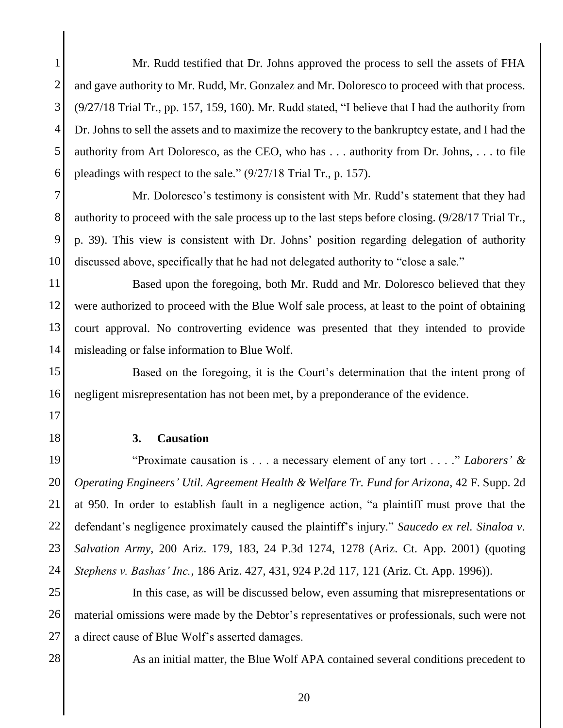1 2 3 4 5 6 Mr. Rudd testified that Dr. Johns approved the process to sell the assets of FHA and gave authority to Mr. Rudd, Mr. Gonzalez and Mr. Doloresco to proceed with that process. (9/27/18 Trial Tr., pp. 157, 159, 160). Mr. Rudd stated, "I believe that I had the authority from Dr. Johns to sell the assets and to maximize the recovery to the bankruptcy estate, and I had the authority from Art Doloresco, as the CEO, who has . . . authority from Dr. Johns, . . . to file pleadings with respect to the sale." (9/27/18 Trial Tr., p. 157).

7 8 9 10 Mr. Doloresco's testimony is consistent with Mr. Rudd's statement that they had authority to proceed with the sale process up to the last steps before closing. (9/28/17 Trial Tr., p. 39). This view is consistent with Dr. Johns' position regarding delegation of authority discussed above, specifically that he had not delegated authority to "close a sale."

11 12 13 14 Based upon the foregoing, both Mr. Rudd and Mr. Doloresco believed that they were authorized to proceed with the Blue Wolf sale process, at least to the point of obtaining court approval. No controverting evidence was presented that they intended to provide misleading or false information to Blue Wolf.

15 16 Based on the foregoing, it is the Court's determination that the intent prong of negligent misrepresentation has not been met, by a preponderance of the evidence.

- 17
- 18

#### **3. Causation**

19 20 21 22 23 24 "Proximate causation is . . . a necessary element of any tort . . . ." *Laborers' & Operating Engineers' Util. Agreement Health & Welfare Tr. Fund for Arizona*, 42 F. Supp. 2d at 950. In order to establish fault in a negligence action, "a plaintiff must prove that the defendant's negligence proximately caused the plaintiff's injury." *Saucedo ex rel. Sinaloa v. Salvation Army*, 200 Ariz. 179, 183, 24 P.3d 1274, 1278 (Ariz. Ct. App. 2001) (quoting *Stephens v. Bashas' Inc.*, 186 Ariz. 427, 431, 924 P.2d 117, 121 (Ariz. Ct. App. 1996)).

25 26 27 In this case, as will be discussed below, even assuming that misrepresentations or material omissions were made by the Debtor's representatives or professionals, such were not a direct cause of Blue Wolf's asserted damages.

28

As an initial matter, the Blue Wolf APA contained several conditions precedent to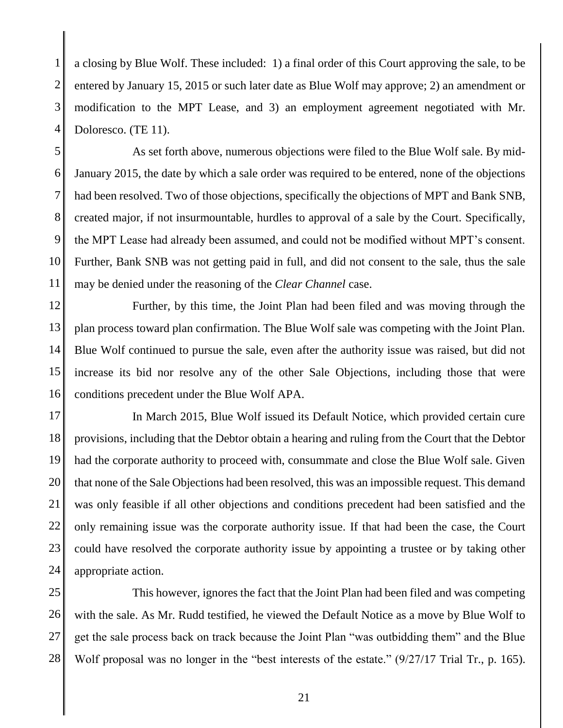1 2 3 4 a closing by Blue Wolf. These included: 1) a final order of this Court approving the sale, to be entered by January 15, 2015 or such later date as Blue Wolf may approve; 2) an amendment or modification to the MPT Lease, and 3) an employment agreement negotiated with Mr. Doloresco. (TE 11).

5 6 7 8 9 10 11 As set forth above, numerous objections were filed to the Blue Wolf sale. By mid-January 2015, the date by which a sale order was required to be entered, none of the objections had been resolved. Two of those objections, specifically the objections of MPT and Bank SNB, created major, if not insurmountable, hurdles to approval of a sale by the Court. Specifically, the MPT Lease had already been assumed, and could not be modified without MPT's consent. Further, Bank SNB was not getting paid in full, and did not consent to the sale, thus the sale may be denied under the reasoning of the *Clear Channel* case.

12 13 14 15 16 Further, by this time, the Joint Plan had been filed and was moving through the plan process toward plan confirmation. The Blue Wolf sale was competing with the Joint Plan. Blue Wolf continued to pursue the sale, even after the authority issue was raised, but did not increase its bid nor resolve any of the other Sale Objections, including those that were conditions precedent under the Blue Wolf APA.

17 18 19 20 21 22 23 24 In March 2015, Blue Wolf issued its Default Notice, which provided certain cure provisions, including that the Debtor obtain a hearing and ruling from the Court that the Debtor had the corporate authority to proceed with, consummate and close the Blue Wolf sale. Given that none of the Sale Objections had been resolved, this was an impossible request. This demand was only feasible if all other objections and conditions precedent had been satisfied and the only remaining issue was the corporate authority issue. If that had been the case, the Court could have resolved the corporate authority issue by appointing a trustee or by taking other appropriate action.

25 26 27 28 This however, ignores the fact that the Joint Plan had been filed and was competing with the sale. As Mr. Rudd testified, he viewed the Default Notice as a move by Blue Wolf to get the sale process back on track because the Joint Plan "was outbidding them" and the Blue Wolf proposal was no longer in the "best interests of the estate." (9/27/17 Trial Tr., p. 165).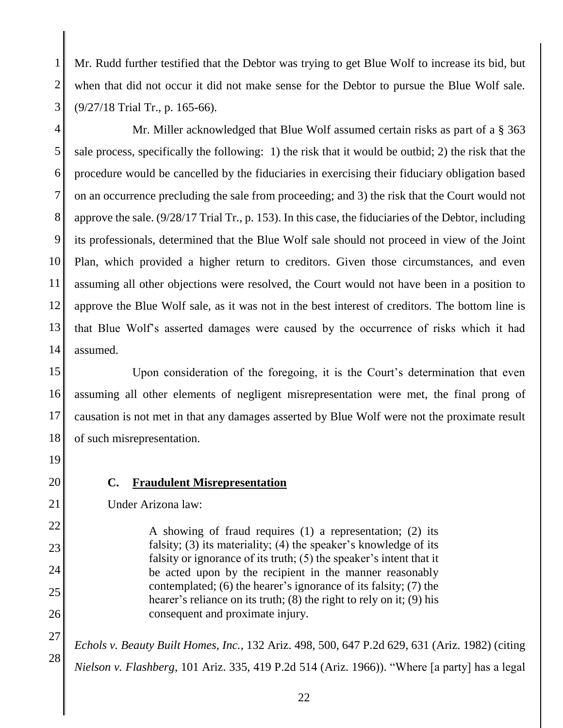1 2 3 Mr. Rudd further testified that the Debtor was trying to get Blue Wolf to increase its bid, but when that did not occur it did not make sense for the Debtor to pursue the Blue Wolf sale. (9/27/18 Trial Tr., p. 165-66).

4 5 6 7 8 9 10 11 12 13 14 Mr. Miller acknowledged that Blue Wolf assumed certain risks as part of a § 363 sale process, specifically the following: 1) the risk that it would be outbid; 2) the risk that the procedure would be cancelled by the fiduciaries in exercising their fiduciary obligation based on an occurrence precluding the sale from proceeding; and 3) the risk that the Court would not approve the sale. (9/28/17 Trial Tr., p. 153). In this case, the fiduciaries of the Debtor, including its professionals, determined that the Blue Wolf sale should not proceed in view of the Joint Plan, which provided a higher return to creditors. Given those circumstances, and even assuming all other objections were resolved, the Court would not have been in a position to approve the Blue Wolf sale, as it was not in the best interest of creditors. The bottom line is that Blue Wolf's asserted damages were caused by the occurrence of risks which it had assumed.

15 16 17 18 Upon consideration of the foregoing, it is the Court's determination that even assuming all other elements of negligent misrepresentation were met, the final prong of causation is not met in that any damages asserted by Blue Wolf were not the proximate result of such misrepresentation.

- 19
- 20

21

22

23

24

25

26

**C. Fraudulent Misrepresentation**

Under Arizona law:

A showing of fraud requires (1) a representation; (2) its falsity; (3) its materiality; (4) the speaker's knowledge of its falsity or ignorance of its truth; (5) the speaker's intent that it be acted upon by the recipient in the manner reasonably contemplated; (6) the hearer's ignorance of its falsity; (7) the hearer's reliance on its truth; (8) the right to rely on it; (9) his consequent and proximate injury.

27 28 *Echols v. Beauty Built Homes, Inc.*, 132 Ariz. 498, 500, 647 P.2d 629, 631 (Ariz. 1982) (citing *Nielson v. Flashberg*, 101 Ariz. 335, 419 P.2d 514 (Ariz. 1966)). "Where [a party] has a legal